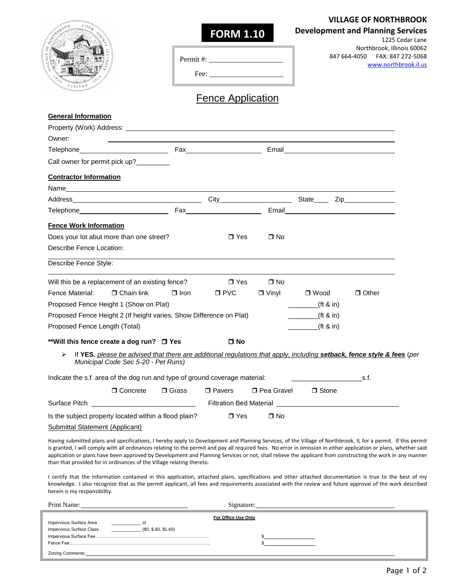## **VILLAGE OF NORTHBROOK**

1225 Cedar Lane

## **Development and Planning Services**

| Permit #: |  |
|-----------|--|
|           |  |

 $\bigcap$ 

Northbrook, Illinois 60062 847 664-4050 FAX: 847 272-5068 [www.northbrook.il.us](http://www.northbrook.il.us/)

| $\sim$ |  |  |
|--------|--|--|
|        |  |  |

Fence Application

**FORM 1.10**

| <b>General Information</b>                                                                                                                                                                                                                                                                                                                                                                                                                                                                                                                                               |              |               |                   |                                                                    |                                                                                                                                                                                                                                    |
|--------------------------------------------------------------------------------------------------------------------------------------------------------------------------------------------------------------------------------------------------------------------------------------------------------------------------------------------------------------------------------------------------------------------------------------------------------------------------------------------------------------------------------------------------------------------------|--------------|---------------|-------------------|--------------------------------------------------------------------|------------------------------------------------------------------------------------------------------------------------------------------------------------------------------------------------------------------------------------|
|                                                                                                                                                                                                                                                                                                                                                                                                                                                                                                                                                                          |              |               |                   |                                                                    |                                                                                                                                                                                                                                    |
| Owner:                                                                                                                                                                                                                                                                                                                                                                                                                                                                                                                                                                   |              |               |                   |                                                                    |                                                                                                                                                                                                                                    |
|                                                                                                                                                                                                                                                                                                                                                                                                                                                                                                                                                                          |              |               |                   |                                                                    |                                                                                                                                                                                                                                    |
| Call owner for permit pick up?_________                                                                                                                                                                                                                                                                                                                                                                                                                                                                                                                                  |              |               |                   |                                                                    |                                                                                                                                                                                                                                    |
| <b>Contractor Information</b>                                                                                                                                                                                                                                                                                                                                                                                                                                                                                                                                            |              |               |                   |                                                                    |                                                                                                                                                                                                                                    |
|                                                                                                                                                                                                                                                                                                                                                                                                                                                                                                                                                                          |              |               |                   |                                                                    |                                                                                                                                                                                                                                    |
|                                                                                                                                                                                                                                                                                                                                                                                                                                                                                                                                                                          |              |               |                   |                                                                    |                                                                                                                                                                                                                                    |
| Telephone Fax Fax                                                                                                                                                                                                                                                                                                                                                                                                                                                                                                                                                        |              |               |                   |                                                                    | Email <b>Email Email Account Contract Contract Contract Contract Contract Contract Contract Contract Contract Contract Contract Contract Contract Contract Contract Contract Contract Contract Contract Contract Contract Cont</b> |
| <b>Fence Work Information</b>                                                                                                                                                                                                                                                                                                                                                                                                                                                                                                                                            |              |               |                   |                                                                    |                                                                                                                                                                                                                                    |
| Does your lot abut more than one street?                                                                                                                                                                                                                                                                                                                                                                                                                                                                                                                                 |              | $\Box$ Yes    | $\Box$ No         |                                                                    |                                                                                                                                                                                                                                    |
| Describe Fence Location:                                                                                                                                                                                                                                                                                                                                                                                                                                                                                                                                                 |              |               |                   |                                                                    |                                                                                                                                                                                                                                    |
| Describe Fence Style:                                                                                                                                                                                                                                                                                                                                                                                                                                                                                                                                                    |              |               |                   |                                                                    |                                                                                                                                                                                                                                    |
| Will this be a replacement of an existing fence?                                                                                                                                                                                                                                                                                                                                                                                                                                                                                                                         |              | $\Box$ Yes    | $\Box$ No         |                                                                    |                                                                                                                                                                                                                                    |
| Fence Material:<br>$\Box$ Chain link                                                                                                                                                                                                                                                                                                                                                                                                                                                                                                                                     | $\Box$ Iron  | $\square$ PVC | $\Box$ Vinyl      | $\Box$ Wood                                                        | $\Box$ Other                                                                                                                                                                                                                       |
| Proposed Fence Height 1 (Show on Plat)                                                                                                                                                                                                                                                                                                                                                                                                                                                                                                                                   |              |               |                   | f(t 8 in)                                                          |                                                                                                                                                                                                                                    |
| Proposed Fence Height 2 (If height varies, Show Difference on Plat)                                                                                                                                                                                                                                                                                                                                                                                                                                                                                                      |              |               |                   | $(ft \& in)$                                                       |                                                                                                                                                                                                                                    |
| Proposed Fence Length (Total)                                                                                                                                                                                                                                                                                                                                                                                                                                                                                                                                            |              |               |                   | (t 8 in)<br>$\mathcal{L}^{\text{max}}(\mathcal{L}^{\text{max}})$ . |                                                                                                                                                                                                                                    |
| **Will this fence create a dog run? □ Yes                                                                                                                                                                                                                                                                                                                                                                                                                                                                                                                                |              | $\Box$ No     |                   |                                                                    |                                                                                                                                                                                                                                    |
| If YES, please be advised that there are additional regulations that apply, including setback, fence style & fees (per<br>➤<br>Municipal Code Sec 5-20 - Pet Runs)                                                                                                                                                                                                                                                                                                                                                                                                       |              |               |                   |                                                                    |                                                                                                                                                                                                                                    |
| Indicate the s.f. area of the dog run and type of ground coverage material:                                                                                                                                                                                                                                                                                                                                                                                                                                                                                              |              |               |                   |                                                                    | $\mathbf{s}$ . The set of $\mathbf{s}$ is the set of $\mathbf{s}$ .                                                                                                                                                                |
| $\Box$ Concrete                                                                                                                                                                                                                                                                                                                                                                                                                                                                                                                                                          | $\Box$ Grass | $\Box$ Pavers | $\Box$ Pea Gravel | $\Box$ Stone                                                       |                                                                                                                                                                                                                                    |
|                                                                                                                                                                                                                                                                                                                                                                                                                                                                                                                                                                          |              |               |                   |                                                                    |                                                                                                                                                                                                                                    |
| Is the subject property located within a flood plain?                                                                                                                                                                                                                                                                                                                                                                                                                                                                                                                    |              | $\Box$ Yes    | $\Box$ No         |                                                                    |                                                                                                                                                                                                                                    |
| Submittal Statement (Applicant)                                                                                                                                                                                                                                                                                                                                                                                                                                                                                                                                          |              |               |                   |                                                                    |                                                                                                                                                                                                                                    |
| Having submitted plans and specifications, I hereby apply to Development and Planning Services, of the Village of Northbrook, IL for a permit. If this permit<br>is granted, I will comply with all ordinances relating to the permit and pay all required fees. No error in omission in either application or plans, whether said<br>application or plans have been approved by Development and Planning Services or not, shall relieve the applicant from constructing the work in any manner<br>than that provided for in ordinances of the Village relating thereto. |              |               |                   |                                                                    |                                                                                                                                                                                                                                    |

I certify that the information contained in this application, attached plans, specifications and other attached documentation is true to the best of my knowledge. I also recognize that as the permit applicant, all fees and requirements associated with the review and future approval of the work described herein is my responsibility.

| Print Name:              |                      | Signature: |  |  |  |  |
|--------------------------|----------------------|------------|--|--|--|--|
| For Office Use Only      |                      |            |  |  |  |  |
| Impervious Surface Area  |                      |            |  |  |  |  |
| Impervious Surface Class | (\$0, \$.80, \$1.60) |            |  |  |  |  |
|                          |                      |            |  |  |  |  |
| Fence Fee.               |                      |            |  |  |  |  |
| Zoning Comments:         |                      |            |  |  |  |  |